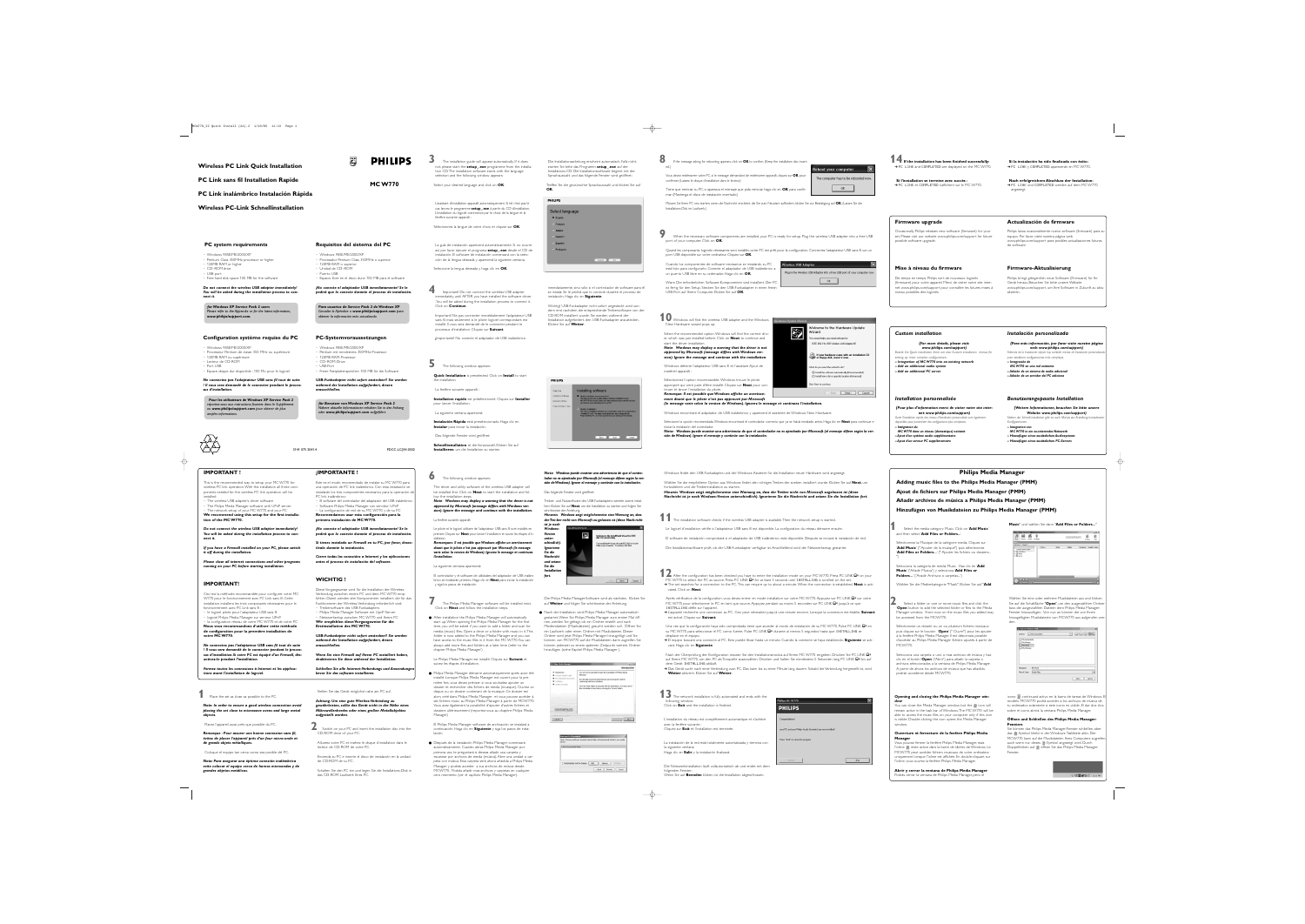#### **1** Place the set as close as possible to the PC.

*Note: In order to ensure a good wireless connection avoid placing the set close to microwave ovens and large metal objects.*

Placez l'appareil aussi près que possible du PC.

*Remarque : Pour assurer une bonne connexion sans fil, évitez de placer l'appareil près d'un four micro-onde et de grands objets métalliques.*

Coloque el equipo tan cerca como sea posible del PC.

#### **2** Switch on your PC and insert the installation disc into the CD-ROM drive of your PC.

*Nota: Para asegurar una óptima conexión inalámbrica evite colocar el equipo cerca de hornos microondas y de grandes objetos metálicos.*

Stellen Sie das Gerät möglichst nahe am PC auf.

*Achtung: Um eine gute Wireless-Verbindung zu gewährleisten, sollte das Gerät nicht in der Nähe eines Mikrowellenherdes oder eines großen Metallobjektes aufgestellt werden.*



Allumez votre PC et insérez le disque d'installation dans le lecteur de CD-ROM de votre PC.

Encienda su PC e inserte el disco de instalación en la unidad de CD-ROM de su PC.

Quand les composants logiciels nécessaires sont installés, votre PC est prêt pour la configuration. Connectez l'adaptateur USB sans fil sur un port USB disponible sur votre ordinateur. Cliquez sur **OK**.

.<br>Iware Undate Wizard

**ES** 

Vizard

Schalten Sie den PC ein und legen Sie die Installations-Disk in das CD-ROM-Laufwerk Ihres PC.

**8** If the message asking for rebooting appears, click on **OK** to confirm. (Keep the installation disc inserted.)

10 Windows will find the wireless USB adapter and the Windows New Hardware wizard pops up:

Vous devez redémarrer votre PC, si le message demandant de redémarrer apparaît, cliquez sur **OK** pour confirmer. (Laissez le disque d'installation dans le lecteur.)

Tiene que reiniciar su PC, si aparezca el mensaje que pida reiniciar, haga clic en **OK** para confirmar. (Mantenga el disco de instalación insertado.)

eboot your computer The computer has to be rebooted nov  $OK$ 

Müssen Sie Ihren PC neu starten, wenn die Nachricht erscheint, die Sie zum Neustart auffordert, klicken Sie zur Bestätigung auf **OK**. (Lassen Sie die Installations-Disk im Laufwerk.)

**9** When the necessary software components are installed, your PC is ready for setup. Plug the wireless USB adapter into a free USB port of your computer. Click on **OK**.

Cuando los componentes de software necesarios se instalarán, su PC está listo para configurarlo. Conecte el adaptador de USB inalámbrico a un puerto USB libre en su ordenador. Haga clic en **OK**.

Wann Die erforderlichen Software-Komponenten sind installiert, Der PC ist fertig für den Setup. Stecken Sie den USB-Funkadapter in einen freien USB-Port auf Ihrem Computer. Klicken Sie auf **OK**.

| 'ireless USB Adapter                                                       |  |  |
|----------------------------------------------------------------------------|--|--|
| Plug in the Wireless USB Adapter into a free USB port of your computer nov |  |  |
|                                                                            |  |  |

Welcome to the Hardware Update

If your hardware came with an installation CD<br>or floppy disk, insert it now.

The software automatically (Recommended Install from a list or specific location (Advanced)

wizard helps you install software for: IEEE 802.11b USB Wireless LAN Adapter #7

hat do you want the wizard to do?

lick Next to continue

Select the recommended option.Windows will find the correct driver which was just installed before. Click on **Next** to continue and

start the driver installation. *Note: Windows may display a warning that the driver is not approved by Microsoft (message differs with Windows version). Ignore the message and continue with the installation.*

Windows détecte l'adaptateur USB sans fil et l'assistant Ajout de matériel apparaît :

Sélectionnez l'option recommandée.Windows trouve le pilote approprié qui vient juste d'être installé. Cliquez sur **Next** pour continuer et lancer l'installation du pilote.

*Remarque: Il est possible que Windows affiche un avertissement disant que le pilote n'est pas approuvé par Microsoft*

Windows encontrará el adaptador de USB inalámbrico y aparecerá el asistente de Windows New Hardware:

*(le message varie selon la version de Windows). Ignorez le message et continuez l'installation.* Seleccione la opción recomendada.Windows encontrará el controlador correcto que ya se había instalado antes. Haga clic en **Next** para continuar e

iniciar la instalación del controlador. *Nota: Windows puede mostrar una advertencia de que el controlador no es aprobado por Microsoft (el mensaje difiere según la versión de Windows). Ignore el mensaje y continúe con la instalación.*

#### **IMPORTANT !**

- This is the recommended way to setup your MC W770 for wireless PC link operation.With this installation all three components needed for the wireless PC link operation will be installed:
- The wireless USB adapter's driver software

**12** After the configuration has been checked you have to enter the installation mode on your MC W770. Press PC LINK  $\Box$ <sup>n</sup> on your MC W770 to select the PC as source. Press PC LINK  $\Box$ <sup>n</sup> for at least 5 seconds until INSTALLING is scrolled on the set. ➜The set searches for a connection to the PC.This can require up to about a minute.When the connection is established, **Next** is activated. Click on **Next**.

– The Philips Media Manager software with UPnP server – The network setup of your MC W770 and your PC **We recommend using this setup for the first installation of the MC W770.**

> Après vérification de la configuration, vous devez entrer en mode installation sur votre MC W770. Appuyez sur PC LINK  $\Box$ " sur votre MC W770 pour sélectionner le PC en tant que source. Appuyez pendant au moins 5 secondes sur PC LINK  $\Box$ <sup>1</sup> jusqu'à ce que INSTALLING défile sur l'appareil.

*Do not connect the wireless USB adapter immediately! You will be asked during the installation process to connect it.*

*If you have a Firewall installed on your PC, please switch it off during the installation.*

*Please close all internet connections and other programs running on your PC before starting installation.*

### **IMPORTANT!**

Ceci est la méthode recommandée pour configurer votre MC W770 pour le fonctionnement avec PC Link sans fil. Cette installation installera les trois composants nécessaires pour le fonctionnement avec PC Link sans fil :

> Nach der Überprüfung der Konfiguration müssen Sie den Installationsmodus auf Ihrem MC W770 eingeben. Drücken Sie PC LINK  $\Box$ auf Ihrem MC W770, um den PC als Tonquelle auszuwählen. Drücken und halten Sie mindestens 5 Sekunden lang PC LINK  $\Box$ <sup>,</sup>, bis auf dem Gerät INSTALLING abläuft.

> → Das Gerät sucht nach einer Verbindung zum PC. Das kann bis zu einer Minute lang dauern. Sobald die Verbindung hergestellt ist, wird **Weiter** aktiviert. Klicken Sie auf **Weiter**.

 $\longrightarrow$ 

– le logiciel pilote pour l'adaptateur USB sans fil

**13** The network installation is fully automated and ends with the following window: Click on **Exit** and the installation is finished.

– logiciel Philips Media Manager sur serveur UPnP.

– la configuration réseau de votre MC W770 et de votre PC **Nous vous recommandons d'utiliser cette méthode de configuration pour la première installation de votre MC W770.**

*Ne connectez pas l'adaptateur USB sans fil tout de suite ! Il vous sera demandé de le connecter pendant le processus d'installation.Si votre PC est équipé d'un Firewall, désactivez-le pendant l'installation.*

*Fermez toutes les connexions à Internet et les applications avant l'installation de logiciel.*

# **¡IMPORTANTE !**

- Este es el modo recomendado de instalar su MC W770 para una operación de PC link inalámbrico. Con esta instalación se instalarán los tres componentes necesarios para la operación de PC link inalámbrico:
- El software del controlador del adaptador del USB inalámbrico – Software Philips Media Manager con servidor UPnP – La configuración de red de su MC W770 y de su PC **Recomendamos usar esta configuración para la**
- **primera instalación de MC W770.**

*¡No conecte el adaptador USB inmediatamente! Se le pedirá que lo conecte durante el proceso de instalación.*

*Si tienes instalado un Firewall en tu PC, por favor, desactívalo durante la instalación.*

*Cierre todas las conexións a Internet y las aplicaciones antes el proceso de instalación del software.*

#### **WICHTIG !**

Diese Vorgangsweise wird für die Installation der Wireless-Verbindung zwischen einem PC und dem MC W770 empfohlen. Damit werden drei Komponenten installiert, die für das Funktionieren der Wireless-Verbindung erforderlich sind:

– Treibersoftware des USB-Funkadapters

– Philips Media Manager Software mit UpnP-Server – Netzwerksetup zwischen MC W770 und Ihrem PC **Wir empfehlen diese Vorgangsweise für die Erstinstallation des MC W770.**

*USB-Funkadapter nicht sofort anstecken!! Sie werden während der Installation aufgefordert, diesen anzuschließen.*

*Wenn Sie eine Firewall auf Ihrem PC installiert haben,*

*deaktivieren Sie diese während der Installation. Schließen Sie alle Internet-Verbindungs und Anwendungen*

*bevor Sie das software installieren.*

Windows findet den USB-Funkadapter, und der Windows-Assistent für die Installation neuer Hardware wird angezeigt:

*Hinweis: Windows zeigt möglicherweise eine Warnung an, dass der Trei-ber nicht von Microsoft zu-gelassen ist (diese Nach-richt ist je nach Windows-Version* Welcome to the InstallShield Wizard for IEEE<br>802.11b WLAN Utility

Wählen Sie die empfohlene Option aus.Windows findet den richtigen Treiber, der soeben installiert wurde. Klicken Sie auf **Next**, um

fortzufahren und die Treiberinstallation zu starten. *Hinweis: Windows zeigt möglicherweise eine Warnung an, dass der Treiber nicht von Microsoft zugelassen ist (diese*

*Nachricht ist je nach Windows-Version unterschiedlich). Ignorieren Sie die Nachricht und setzen Sie die Installation fort.*

**1** The installation software checks if the wireless USB adapter is available. Then the network setup is started.



● After installation the Philips Media Manager will automatically start up.When opening the Philips Media Manager for the first time, you will be asked if you want to add a folder and scan for media (music) files. Open a drive or a folder with music in it.This folder is now added to the Philips Media Manager and you can have access to the music files in it from the MC W770.You can always add more files and folders at a later time (refer to the

Le logiciel d'installation vérifie si l'adaptateur USB sans fil est disponible. La configuration du réseau démarre ensuite.

El software de instalación comprobará si el adaptador de USB inalámbrico está disponible. Después se iniciará la instalación de red.

El Philips Media Manager software de archivación se instalará a continuación. Haga clic en **Siguiente** y siga los pasos de insta-● Después de la instalación Philips Media Manager comenzará

Die Installationssoftware prüft, ob der USB-Funkadapter verfügbar ist. Anschließend wird der Netzwerksetup gestartet.

➜L'appareil recherche une connexion au PC. Ceci peut nécessiter jusqu'à une minute environ. Lorsque la connexion est établie, **Suivant** est activé. Cliquez sur **Suivant**.

Una vez que la configuración haya sido comprobada tiene que acceder al modo de instalación de su MC W770. Pulse PC LINK  $\Box$ <sup>,</sup> en su MC W770 para seleccionar el PC como fuente. Pulse PC LINK  $\Box$ <sup>n</sup> durante al menos 5 segundos hasta que INSTALLING se

desplace en el equipo. ➜El equipo buscará una conexión al PC. Esto puede llevar hasta un minuto. Cuando la conexión se haya establecido, **Siguiente** se activará. Haga clic en **Siguiente**.

L'installation du réseau est complètement automatique et s'achève avec la fenêtre suivante : Cliquez sur **Exit** et l'installation est terminée.

La instalación de la red está totalmente automatizada y termina con la siguiente ventana: Haga clic en **Salir** y la instalación finalizará.

**Music**" und wählen Sie dann "**Add Files or Folders...**"  $J = \Theta$  in the set of  $\theta$ streamium **8 8** Title A |Artist |Album |Composer |Length | Genr .<br>Ionfigure Watch Folder:<br>D. Arhist (Alhum

Die Netzwerkinstallation läuft vollautomatisch ab und endet mit dem folgenden Fenster: Wenn Sie auf **Beenden** klicken, ist die Installation abgeschlossen.

| Philips MC-W//0                                             |      |
|-------------------------------------------------------------|------|
| <b>PHILIPS</b>                                              |      |
| Congratulations!                                            |      |
| your PC and your Philips Audio System(s) are now installed! |      |
| Press "Exit" to close this program                          |      |
|                                                             |      |
| Cancel                                                      | Exit |

**4** Important! Do not connect the wireless USB adapter immediately, until AFTER you have installed the software driver .You will be asked during the installation process to connect it. Click on **Continue**.

Important! Ne pas connecter immédiatement l'adaptateur USB sans fil, mais seulement si le pilote logiciel correspondant est installé. Il vous sera demandé de le connecter pendant le processus d'installation. Cliquez sur **Suivant**.

**¡**Importante! No conecte el adaptador de USB inalámbrico



You can close the Media Manager window, but the  $\phi$  icon will remain active in the task bar of Windows.The MC W770 will be able to access the music files on your computer only if this icon is visible. Double-clicking the icon opens the Media Manager window.

inmediatamente, sino sólo si el controlador de software para él se instala. Se le pedirá que lo conecte durante el proceso de instalación. Haga clic en **Siguiente**.

Wichtig! USB-Funkadapter nicht sofort angesteckt wird, sondern erst nachdem die entsprechende Treibersoftware von der CD-ROM installiert wurde. Sie werden während der Installation aufgefordert, den USB-Funkadapter anzustecken. Klicken Sie auf **Weiter**.



icono continuará activo en la barra de tareas de Windows. El modelo MCW770 podrá acceder a los archivos de música de tu ordenador, solamente si este icono es visible. El dar dos clics sobre el icono abrirá la ventana Philips Media Manager.

#### **5** The following window appears:

**Quick Installation** is preselected. Click on **Install** to start the installation.

La fenêtre suivante apparaît :

**Installation rapide** est présélectionné. Cliquez sur **Installer** pour lancer l'installation.

La siguiente ventana aparecerá:

**Instalación Rápida** está preseleccionado. Haga clic en **Instalar** para iniciar la instalación.

Das folgende Fenster wird geöffnet:

**Schnellinstallation** ist die Vorauswahl. Klicken Sie auf **Installieren**, um die Installation zu starten.



**3** The installation guide will appear automatically. If it does not, please start the **setup\_.exe** programme from the installation CD.The installation software starts with the language selection and the following window appears:

Select your desired language and click on **OK**.

L'assistant d'installation apparaît automatiquement. Si tel n'est pas le cas, lancez le programme **setup\_.exe** à partir du CD d'installation. L'installation du logiciel commence par le choix de la langue et la fenêtre suivante apparaît :

#### **Si la instalación ha sido finalizada con éxito: →PC LINK y COMPLETED aparecerán en MC W770.**

Sélectionnez la langue de votre choix et cliquez sur **OK**.

La guía de instalación aparecerá automáticamente. Si no ocurre así, por favor ejecute el programa **setup\_.exe** desde el CD de instalación. El software de instalación comenzará con la selección de la lengua deseada y aparecerá la siguiente ventana:

Seleccione la lengua deseada y haga clic en **OK**.

Die Installationsanleitung erscheint automatisch. Falls nicht, starten Sie bitte das Programm **setup\_.exe** auf der Installations-CD. Die Installationssoftware beginnt mit der Sprachauswahl und das folgende Fenster wird geöffnet:

Treffen Sie die gewünschte Sprachauswahl und klicken Sie auf **OK**.

## **PHILIPS** Select language **G** English Français Italiano **Deutsch** Español Portugues  $\begin{array}{|c|c|c|}\hline \multicolumn{3}{c|}{\textbf{Carncol}} & \multicolumn{3}{c|}{\textbf{C} & \textbf{OIC}}\\ \hline \multicolumn{3}{c|}{\textbf{Carncol}} & \multicolumn{3}{c|}{\textbf{C} & \textbf{OIC}}\\ \hline \multicolumn{3}{c|}{\textbf{Carncol}} & \multicolumn{3}{c|}{\textbf{C} & \textbf{OIC}}\\ \hline \multicolumn{3}{c|}{\textbf{C} & \textbf{OIC}} & \multicolumn{3}{c|}{\textbf{OIC}}\\ \hline \multicolumn{3}{c|}{\textbf{C} & \$

#### **6** The following window appears:

The driver and utility software of the wireless USB adapter will be installed first. Click on **Next** to start the installation and follow the installation steps.

*Note: Windows may display a warning that the driver is not approved by Microsoft (message differs with Windows version). Ignore the message and continue with the installation.*

La fenêtre suivante apparaît:

Le pilote et le logiciel utilitaire de l'adaptateur USB sans fil sont installés en premier. Cliquez sur **Next** pour lancer l'installation et suivez les étapes d'in-

stallation.

*Remarques: Il est possible que Windows affiche un avertissement disant que le pilote n'est pas approuvé par Microsoft (le message varie selon la version de Windows). Ignorez le message et continuez*

*l'installation.*

La siguiente ventana aparecerá:

El controlador y el software de utilidades del adaptador de USB inalámbrico se instalarán primero. Haga clic en **Next** para iniciar la instalación

y siga los pasos de instalación.

*Nota: Windows puede mostrar una advertencia de que el controlador no es aprobado por Microsoft (el mensaje difiere según la versión de Windows).Ignore el mensaje y continúe con la instalación.*

#### Das folgende Fenster wird geöffnet:

Treiber- und Nutzsoftware des USB-Funkadapters werden zuerst installiert. Klicken Sie auf **Next**, um die Installation zu starten und folgen Sie schrittweise der Anleitung.

*unterschiedlich). Ignorieren Sie die Nachricht und setzen Sie die Installation fort.*

**a** Introduction

nstalling... Install Complete

Choose Install Folde Pre-Installation Sum

streamium

The InstallShield® Wizard will install IEEE 802.11b WLAN<br>Utility on your computer. To continue, click Next.

 $\langle$  Back  $\fbox{\textsf{Nest}}$   $\fbox{\textsf{Nest}}$   $\fbox{\textsf{Nest}}$ 

Introduction

**7** The Philips Media Manager software will be installed next.

Click on **Next** and follow the installation steps.

chapter 'Philips Media Manager')

# Le Philips Media Manager est installé. Cliquez sur **Suivant** et

suivez les étapes d'installation.

● Philips Media Manager démarre automatiquement après avoir été installé. Lorsque Philips Media Manager est ouvert pour la première fois, vous devez préciser si vous souhaitez ajouter un dossier et rechercher des fichiers de media (musique). Ouvrez un disque ou un dossier contenant de la musique. Ce dossier est alors créé dans Philips Media Manager et vous pouvez accéder à ses fichiers music au Philips Media Manager à partir de MCW770. Vous avez également la possibilité d'ajouter d'autres fichiers et dossiers ultérieurement (reportez-vous au chapitre Philips Media

Manager)

lación.

primera vez, te preguntará si deseas añadir una carpeta y

automáticamente. Cuando abras Philips Media Manager por escanear por archivos de media (música). Abre una unidad o carpeta con música. Esta carpeta será ahora añadida a Philips Media Manager y podrás acceder a sus archivos de música desde MCW770. Podrás añadir mas archivos y carpetas en cualquier

|          | <b>Welcome to Streamium!</b>                                                               | $\mathbf{x}$ |
|----------|--------------------------------------------------------------------------------------------|--------------|
| library. | Music, Pictures and Mavies located in these folders will automatically adced to your media |              |
|          | C:\My Documents\My Music                                                                   |              |
|          |                                                                                            |              |
|          |                                                                                            |              |

| utomatically scan for changes |  | Add |  | Remove |  | Scan Now |
|-------------------------------|--|-----|--|--------|--|----------|
|-------------------------------|--|-----|--|--------|--|----------|

otro momento (ver el capítulo Philips Media Manager).

 $\longrightarrow$ 

Die Philips Media Manager-Software wird als nächstes. Klicken Sie auf **Weiter** und folgen Sie schrittweise der Anleitung.

● Nach der Installation wird Philips Media Manager automatisch gestartet.Wenn Sie Philips Media Manager zum ersten Mal öffnen, werden Sie gefragt, ob ein Ordner erstellt und nach Mediendateien (Musikdateien) gesucht werden soll. Öffnen Sie ein Laufwerk oder einen Ordner mit Musikdateien. Dieser Ordner wird jetzt Philips Media Manager hinzugefügt und Sie können von MCW770 auf die Musikdateien darin zugreifen. Sie können jederzeit zu einem späteren Zeitpunkt weitere Ordner hinzufügen (siehe Kapitel Philips Media Manager ).

**View Philips Media Manager Philips Product Product Product Product Product Product Product Product Product Pro** 

You will now be guided through the installation of Philips Media

It is strongly recommended that you quit all programs before<br>continuing with this installation.

Click the 'Neyf' button to proceed with the installation. You may cance on at any time by clicking the "Cancel" butb

# **Wireless PC Link Quick Installation**

# **PC Link sans fil Installation Rapide**

**PC Link inalámbrico Instalación Rápida**

#### **Wireless PC-Link Schnellinstallation**

#### **PC system requirements**

– Windows 98SE/ME/2000/XP – Pentium Class 350MHz processor or higher – 128MB RAM or higher

- CD–ROM drive
- USB port – Free hard disk space: 100 MB for the software

#### *Do not connect the wireless USB adapter immediately! You will be asked during the installation process to connect it.*

#### **Configuration système requise du PC**

- Windows 98SE/ME/2000/XP
- Processeur Pentium de classe 350 MHz ou supérieure – 128MB RAM ou supérieure
- Lecteur de CD-ROM
- Port USB
- Espace disque dur disponible : 100 Mo pour le logiciel

*Ne connectez pas l'adaptateur USB sans fil tout de suite ! Il vous sera demandé de le connecter pendant le processus d'installation.*

#### **Requisitos del sistema del PC**

PHILIPS<br>(Egg)

- Windows 98SE/ME/2000/XP – Procesador Pentium Class 350MHz o superior – 128MB RAM o superior
- Unidad de CD–ROM – Puerto USB
- Espacio libre en el disco duro: 100 MB para el software *¡No conecte el adaptador USB inmediatamente! Se le*

*pedirá que lo conecte durante el proceso de instalación.*

#### **PC-Systemvoraussetzungen**

- Windows 98SE/ME/2000/XP
- Pentium mit mindestens 350MHz-Prozessor
- 128MB RAM-Prozessor
- CD–ROM-Drive – USB-Port
- Freier Festplattenspeicher: 100 MB für die Software

*USB-Funkadapter nicht sofort anstecken!! Sie werden während der Installation aufgefordert, diesen anzuschließen.*

**MC W770**

**PHILIPS** 

#### **Firmware upgrade**

Occasionally, Philips releases new software (firmware) for your set. Please visit our website www.philips.com/support for future possible software upgrade.

#### **Mise à niveau du firmware**

De temps en temps, Philips sort de nouveaux logiciels (firmware) pour votre appareil. Merci de visiter notre site internet www.philips.com/support pour connaître les futures mises à niveau possibles des logiciels.

**Actualización de firmware**

Philips lanza ocasionalmente nuevo software (firmware) para su equipo. Por favor, visite nuestra página web www.philips.com/support para posibles actualizaciones futuras de software.

#### **Firmware-Aktualisierung**

Philips bringt gelegentlich neue Software (Firmware) für Ihr Gerät heraus. Besuchen Sie bitte unsere Website www.philips.com/support, um Ihre Software in Zukunft zu aktualisieren.

# **Philips Media Manager Adding music files to the Philips Media Manager (PMM)**

# **Ajout de fichiers sur Philips Media Manager (PMM) Añadir archivos de música a Philips Media Manager (PMM) Hinzufügen von Musikdateien zu Philips Media Manager (PMM)**

**1** Select the media category Music. Click on '**Add Music**'

and then select '**Add Files or Folders...**' Sélectionnez la Musique de la catégorie media. Cliquez sur

'**Add Music**' (" Ajouter de la musique") puis sélectionnez 'Add Files or Folders...' (" Ajouter les fichiers ou dossiers... ")

Selecciona la categoría de media Music. Haz clic en '**Add Music**' ('Añadir Musica') y selecciona '**Add Files or Folders...**' ('Anadir Archivos o carpetas...')

Wählen Sie die Medienkategorie "Musik". Klicken Sie auf "**Add**

**2** Select a folder or one or more music files and click the '**Open**' button to add the selected folder or files to the Media Manager window. From now on the music files you added may be accessed from the MCW770.

Sélectionnez un dossier ou un ou plusieurs fichiers musicaux puis cliquez sur le bouton '**Open**' (" Ouvrir") pour les ajouter à la fenêtre Philips Media Manager. Il est désormais possible d'accéder au Philips Media Manager fichiers ajoutés à partir de MCW770.

Selecciona una carpeta o uno o mas archivos de música y haz clic en el botón '**Open**' ('Abrir') para añadir la carpeta o archivos seleccionados a la ventana de Philips Media Manager. A partir de ahora los archivos de música que has añadido, podrán accederse desde MCW770.

Wählen Sie eine oder mehrere Musikdateien aus und klicken Sie auf die Schaltfläche "**Open**", um den ausgewählten Ordner bzw. die ausgewählten Dateien dem Philips Media Manager-Fenster hinzuzufügen. Von nun an können die von Ihnen hinzugefügten Musikdateien von MCW770 aus aufgerufen werden.

| Look In:                     | My Documents | ×. | (3 6 0 6 6 6 |
|------------------------------|--------------|----|--------------|
| My Documents                 |              |    |              |
| My Movies                    |              |    |              |
| My Music<br>My Pictures      |              |    |              |
|                              |              |    |              |
|                              |              |    |              |
|                              |              |    |              |
|                              |              |    |              |
|                              |              |    |              |
|                              | My Music     |    |              |
| File Name:<br>Files of Type: | Audio Files  |    | v            |

#### **Opening and closing the Philips Media Manager window**

#### **Ouverture et fermeture de la fenêtre Philips Media Manager**

Vous pouvez fermer la fenêtre Philips Media Manager, mais l'icône c'este active dans la barre de tâches de Windows. Le MCW770 peut accéder fichiers musicaux de votre ordinateur uniquement lorsque l'icône est affichée. En double-cliquant sur l'icône, vous ouvrez la fenêtre Philips Media Manager.

**Abrir y cerrar la ventana de Philips Media Manager** Podrás cerrar la ventana de Philips Media Manager, pero el

#### **Öffnen und Schließen des Philips Media Manager-Fensters**

Sie können das Philips Media Manager-Fenster schließen, aber das  $\Leftrightarrow$  -Symbol bleibt in der Windows-Taskleiste aktiv. Der MCW770 kann auf die Musikdateien Ihres Computers zugreifen, auch wenn nur dieses  $\phi$ -Symbol angezeigt wird. Durch Doppelklicken auf  $\phi$  öffnen Sie das Philips Media Manager-Fenster.

#### *Custom installation*

#### *(For more details, please visit:*

#### *www.philips.com/support)*

#### *Beside the Quick installation there are also Custom installation menus for setting up more complex configurations.*

*– Integration of MC W770 into an existing network*

*– Add an additional audio system – Add an additional PC server*

# *Installation personnalisée*

# *(Pour plus d'information merci de visiter notre site inter-*

*net: www.philips.com/support) Outre l'Installation rapide, des menus d'Installation personnalisée sont également*

*disponibles pour paramétrer des configurations plus complexes.*

- *Intégration du*
- *MC W770 dans un réseau (domestique) existant – Ajout d'un système audio supplémentaire*
- *Ajout d'un serveur PC supplémentaire*

#### *Instalación personalizada*

*(Para más información, por favor visite nuestra página web: www.philips.com/support)*

*Además de la Instalación rápida hay también menús de Instalación personalizada para establecer configuraciones más complejas.*

*– Integración de* 

- *MC W770 en una red existente – Adición de un sistema de audio adicional*
- *Adición de un servidor del PC adiciona*
- 

#### *Benutzerangepasste Installation*

*(Weitere Informationen, besuchen Sie bitte unsere*

*Website: www.philips.com/support) Neben der Schnell-installation gibt es auch Menüs zur Erstellung komplexerer Konfigurationen.*

*– Integration von* 

*MC W770 in ein ex-istierendes Netzwerk*

**000** 

- *Hinzufügen eines zusätzlichen Audiosystems*
- *Hinzufügen eines zusätzlichen PC-Servers*

#### 3141 075 2041.4 PDCC-LC/JW-0502

#### **14If the installation has been finished successfully:** ➜PC LINK and COMPLETED are displayed on the MC W770.

**Si l'installation se termine avec succès :** ➜PC LINK et COMPLETED <sup>s</sup>'affichent sur le MC W770.

**Nach erfolgreichem Abschluss der Installation:** ➜PC LINK und COMPLETED werden auf dem MC W770 angezeigt.

*for Windows XP Service Pack 2 users Please refer to the Appendix or for the latest information, www.philips/support.com.*

*Pour les utilisateurs de Windows XP Service Pack 2* reportez-vous aux instructions fournies dans le Supplément *ou www.philips/support.com pour obtenir de plus amples informations.*



*Para usuarios de Service Pack 2 de Windows XP Consulte la Apéndice o www.philips/support.com para obtener la información más actualizada.*

*für Benutzer von Windows XP Service Pack 2 Nähere aktuelle Informationen erhalten Sie in den Anhang oder www.philips/support.com aufgeführt.*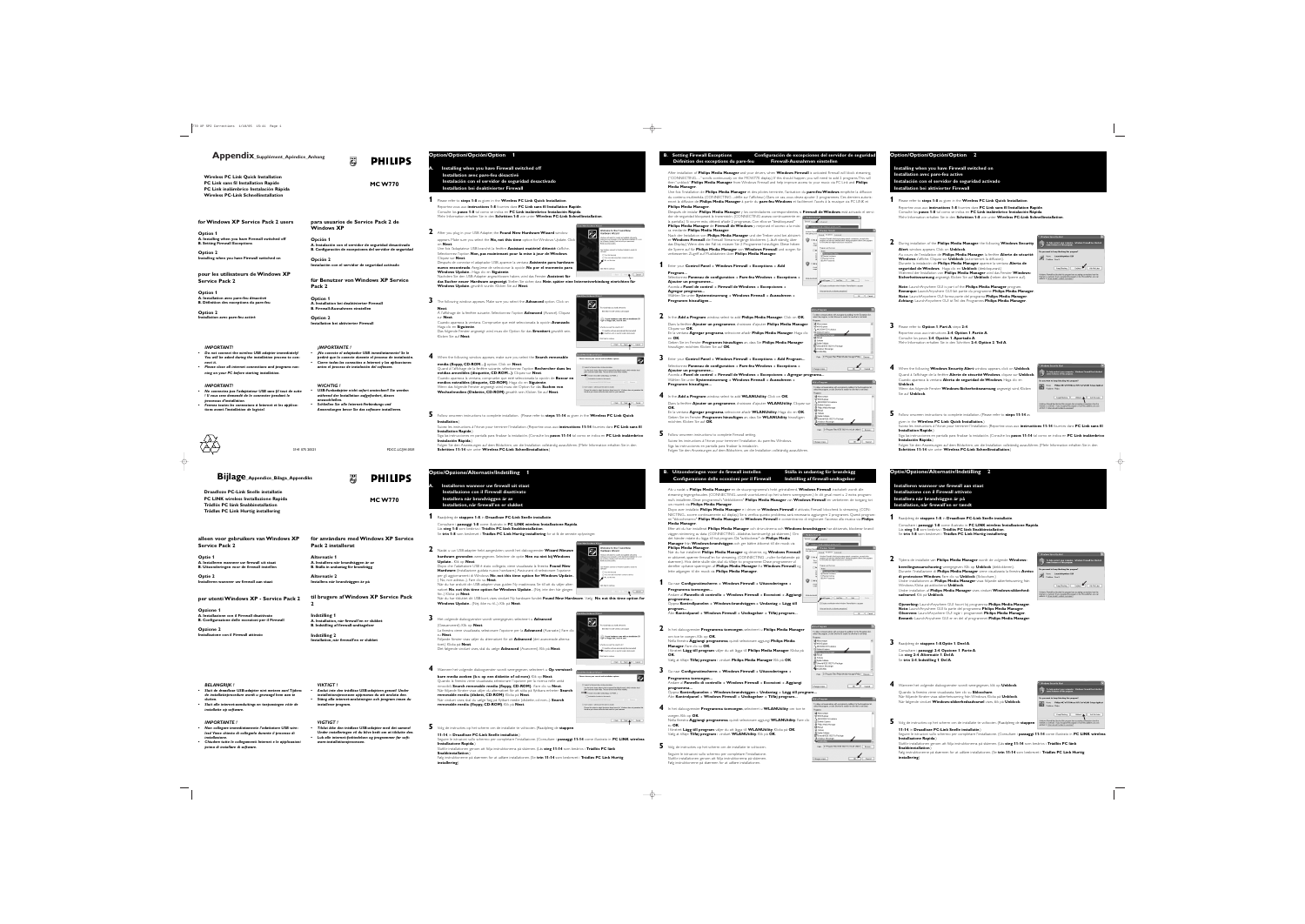# **Appendix\_Supplément\_Apéndice\_Anhang**

**MC W770**

**PHILIPS** 

3141 075 20521 PDCC-LC/JW-0501







Use the check boxes below to limit or expand the default search, which includes local<br>paths and removable media. The best driver found will be installed. Search removable media (floppy, CD-ROM...) Include this location in the search:  $\supset$  Don't search. I will choose the driver to install. .<br>Choose this option to select the device driver from a list. Windows does not g<br>the driver you choose will be the best match for your hardware.  $\overline{\text{ < Back}}$  Next  $\overline{\text{ } }$  Cancel



|                                           | Found New Hardware Wizard |                                                                                                                                                                                                                                                              |
|-------------------------------------------|---------------------------|--------------------------------------------------------------------------------------------------------------------------------------------------------------------------------------------------------------------------------------------------------------|
| lieuwe<br>dows                            |                           | Welcome to the Found New<br>Hardware Wizard<br>Windows will search for current and updated software by<br>looking on your computer, on the hardware installation CD, or or<br>the Windows Update Web site (with your permission).<br>Read our privacy policy |
| <b>New</b><br><sub>2</sub> ione<br>pdate… |                           | Can Windows connect to Windows Update to search for<br>software?<br>◯ Yes, this time only<br>Yes, now and every time I connect a device<br>No, not this time                                                                                                 |
| er alter-<br>gången                       |                           | Click Next to continue.<br>Cancel<br>< Back<br>Next >                                                                                                                                                                                                        |
|                                           |                           |                                                                                                                                                                                                                                                              |

wizard helps you install software for: IEEE 802.11b USB Wireless LAN Adapter

hat do you want the wizard to do?  $\bigcirc$  Install the software automatically (Recommer Install from a list or specific location (Advance

to continue.

If your hardware came with an installation CD<br>Or floppy disk, insert it now.

 $\overline{\text{ < Back}}$  Next  $\overline{\text{ } }$  Cancel

H

.<br>Found New Hardware Wizard

lease choose your search and installation options.

Use the check boxes below to limit or expand the default search, wh<br>paths and removable media. The best driver found will be installed.

Choins search: I will choose the clivet to illistal:<br>- Choose this option to select the device driver from a list. Windows does not gu<br>- the driver you choose will be the best match for your hardware.

Search for the best driver in these locations

Search removable media (floppy, CD-ROM...) Include this location in the search:

 $\bigcirc$  Don't search. I will choose the driver to install.

### **for Windows XP Service Pack 2 users**

**Option 1 A. Installing when you have Firewall switched off B. Setting Firewall Exceptions**

**Option 2 Installing when you have Firewall switched on**

**pour les utilisateurs de Windows XP Service Pack 2**

#### **Option 1 A. Installation avec pare-feu désactivé B. Définition des exceptions du pare-feu**

**Option 2 Installation avec pare-feu activé**

#### **Option/Option/Opción/Option 1 B. Setting Firewall Exceptions Configuración de excepciones del servidor de seguridad Définition des exceptions du pare-feu Firewall-Ausnahmen einstellen A. Installing when you have Firewall switched off** After installation of **Philips Media Manager** and your drivers, when **Windows Firewall** is activated Firewall will block streaming. **Installation avec pare-feu désactivé** ("CONNECTING…." scrolls continuously on the MCW770 display.) If this should happen, you will need to add 2 programs.This will **Instalación con el servidor de seguridad desactivado** then "unblock" **Philips Media Manager** from Windows Firewall and help improve access to your music via PC Link and **Philips Media Manager**. **Installation bei deaktivierter Firewall** Une fois l'installation de **Philips Media Manager** et des pilotes terminée, l'activation du **pare-feu Windows** empêche la diffusion du contenu multimédia. (CONNECTING ...défile sur l'afficheur.) Dans ce cas, vous devez ajouter 2 programmes. Ces derniers autoris-**1** Please refer to **steps 1-8** as given in the **Wireless PC Link Quick Installation**. eront la diffusion de **Philips Media Manager** à partir du **pare-feu Windows** et faciliteront l'accès à la musique via PC LINK et **Philips Media Manager**. Reportez-vous aux **instructions 1-8** fournies dans **PC Link sans fil Installation Rapide**. Consulte los **pasos 1-8** tal como se indica en **PC Link inalámbrico Instalación Rápida**. Después de instalar **Philips Media Manager** y los controladores correspondientes, si **Firewall de Windows** está activado el servi-Mehr Information erhalten Sie in den **Schritten 1-8** wie unter **Wireless PC-Link Schnellinstallation**. dor de seguridad bloqueará la transmisión. (CONNECTING avanza continuamente en Ca windows Firewall la pantalla.) Si ocurre esto, deberá añadir 2 programas. Con ellos se "desbloqueará" eneral Exceptions Advanced **Philips Media Manager** de **Firewall de Windows** y mejorará el acceso a la músi-Vindows Fin .<br>Velcome to the Equad New ca mediante **Philips Media Manager**. **2** After you plug in your USB Adapter, the **Found New Hardware Wizard** window ware Wizard Nach der Installation von **Philips Media Manager** und der Treiber wird bei aktiviert-General Exceptions Advanced Vindows Firewall is blocking incoming network connections, except for the<br>programs and services selected below, Adding exceptions allows some programs<br>boundly both that mini-thing consumer conditions allows some programs appears. Make sure you select the **No, not this time** option for Windows Update. Click er **Windows Firewall** die Firewall Streamvorgänge blockieren. (...läuft ständig über on **Next**. das Display.) Wenn dies der Fall ist, müssen Sie 2 Programme hinzufügen. Diese heben Une fois l'adaptateur USB branché, la fenêtre **Assistant matériel détecté** <sup>s</sup>'affiche. die Sperre auf für **Philips Media Manager** von **Windows Firewall** und sorgen für n Windows connect to Windows Update to search fo Name<br>□ File and Printer Sharing Sélectionnez l'option **Non, pas maintenant pour la mise à jour de Windows**. verbesserten Zugriff auf Musikdateien über **Philips Media Manager**. ◯ Yes, this time only ◯ Yes, now and every time I connect a device Cliquez sur **Next**. □ Remote Desktop<br>■ UPnP Framework .<br>p, not this time Después de conectar el adaptador USB, aparece la ventana **Asistente para hardware**  $\bigotimes$   $\bigcirc$  Off (i)

- 
- 
- 

### **para usuarios de Service Pack 2 de Windows XP**

**PHILIPS** 

**Opción 1 A. Instalación con el servidor de seguridad desactivado B. Configuración de excepciones del servidor de seguridad**

**Opción 2 Instalación con el servidor de seguridad activado**

**für Benutzer von Windows XP Service Pack 2**

**Option 1 A. Installation bei deaktivierter Firewall B. Firewall-Ausnahmen einstellen**

**Option 2 Installation bei aktivierter Firewall** **das Sucher neuer Hardware angezeigt**. Stellen Sie sicher, dass **Nein**, **später eine Internetverbindung einrichten für** Windows Update...gewählt wurde. Klicken Sie auf Next.

**nuevo encontrado**.Asegúrese de seleccionar la opción **No por el momento para Windows Update**... Haga clic en **Siguiente**. Nachdem Sie den USB-Adapter angeschlossen haben, wird das Fenster **Assistent für**

#### **3** The following window appears. Make sure you select the **Advanced** option. Click on **Next**.

À l'affichage de la fenêtre suivante. Sélectionnez l'option **Advanced** (Avancé). Cliquez sur **Next**. Cuando aparezca la ventana. Compruebe que esté seleccionada la opción **Avanzado**. Haga clic en **Siguiente**. Das folgende Fenster angezeigt wird, muss die Option für das **Erweitert** gewählt sein.

Klicken Sie auf **Next**.

#### **4** When the following window appears, make sure you select the **Search removable media (floppy, CD-ROM…)** option. Click on **Next**. Quand à l'affichage de la fenêtre suivante, sélectionnez l'option **Rechercher dans les médias amovibles (disquette, CD-ROM...)**. Cliquez sur **Next**. Cuando aparezca la ventana, compruebe que esté seleccionada la opción de **Buscar en medios extraíbles (disquete, CD-ROM)**. Haga clic en **Siguiente**. Wenn das folgende Fenster angezeigt wird, muss die Option für das **Suchen von Wechselmedien (Diskette, CD-ROM)** gewählt sein. Klicken Sie auf **Next**.

**5** Follow onscreen instructions to complete installation. (Please refer to **steps 11-14** as given in the **Wireless PC Link Quick Installation**.) Suivez les instructions à l'écran pour terminer l'installation. (Reportez-vous aux **instructions 11-14** fournies dans **PC Link sans fil**

**Installation Rapide**.) Siga las instrucciones en pantalla para finalizar la instalación. (Consulte los **pasos 11-14** tal como se indica en **PC Link inalámbrico Instalación Rápida**.) Folgen Sie den Anweisungen auf dem Bildschirm, um die Installation vollständig auszuführen. (Mehr Information erhalten Sie in den

**Schritten 11-14** wie unter **Wireless PC-Link Schnellinstallation**.)

### **1** Enter your **Control Panel** ➜ **Windows Firewall** ➜ **Exceptions** ➜ **Add Program...** Sélectionnez **Panneau de configuration** ➜ **Pare-feu Windows** ➜ **Exceptions** ➜

**Ajouter un programme...** Acceda a **Panel de control** ➜ **Firewall de Windows** ➜ **Excepciones** ➜

 $2$  Nadat u uw USB-adapter hebt aangesloten, wordt het dialoogvenster **Wizard N hardware gevonden** weergegeven. Selecteer de optie **Nee**, **nu niet bij Windows Update**... Klik op **Next**.

**Agregar programa...** Wählen Sie unter **Systemsteuerung** ➜ **Windows Firewall** ➜ **Ausnahmen** ➜ **Programm hinzufügen...**

**2** In the **Add a Program** window, select to add **Philips Media Manager**. Click on **OK**. Dans la fenêtre **Ajouter un programme**, choisissez d'ajouter **Philips Media Manager**. Cliquez sur **OK**. En la ventana **Agregar programa**, seleccione añadir **Philips Media Manager**. Haga clic en **OK**.

Dopo che l'adattatore USB è stato collegato, viene visualizzata la finestra **Found** Hardware (Installazione guidata nuovo hardware.) Assicurarsi di selezionare l'op per gli aggiornamenti di Windows No, not this time option for Windows Up ( No, non adesso...). Fare clic su **Next**. När du har anslutit din USB-adapter visas guiden Ny maskinvara. Se till att du välje nativet **No**, not this time option for Windows Update... (Nej, inte den här för...) Klicka på **Next**. Når du har tilsluttet dit USB-kort, vises vinduet Ny hardware fundet: **Found New Hardware**. Vælg **No**, **not this time option for Windows Update**... (Nej, ikke nu til...). Klik på **Next**.

Geben Sie im Fenster **Programm hinzufügen** an, dass Sie **Philips Media Manager** hinzufügen möchten. Klicken Sie auf **OK**.

**3** Enter your **Control Panel** ➜ **Windows Firewall** ➜ **Exceptions** ➜ **Add Program...** Sélectionnez **Panneau de configuration** ➜ **Pare-feu Windows** ➜ **Exceptions** ➜ **Ajouter un programme...**

Acceda a **Panel de control** ➜ **Firewall de Windows** ➜ **Excepciones** ➜ **Agregar programa...** Wählen Sie unter **Systemsteuerung** ➜ **Windows Firewall** ➜ **Ausnahmen** ➜ **Programm hinzufügen...**

**4** In the **Add a Program** window, select to add **WLANUtility**. Click on **OK**. Dans la fenêtre **Ajouter un programme**, choisissez d'ajouter **WLANUtility**. Cliquez sur **OK**. En la ventana **Agregar programa**, seleccione añadir **WLANUtility**. Haga clic en **OK**. Geben Sie im Fenster **Programm hinzufügen** an, dass Sie **WLANUtility** hinzufügen möchten. Klicken Sie auf **OK**.



 $\begin{array}{c} \begin{array}{c} \text{or } \textbf{K} \end{array} \end{array}$ 

Add Program... | Add Port.. | Edit... | Dele .<br>Display a notification when Windows Firewall blocks a program

ommunications with a program by adding it to the Exceptions list<br>Program or oligk Prouve to search for one that is not listed.

OK Cancel

What are the risks of allowing exceptions?

**ISN Explorer** 

Spider Solitaire

Change scope...  $\big]$ 

install IEEE 802.11b Package

### **B.** Uitzonderingen voor de firewall instellen Ställa in undantag för brandvägg **Configurazione delle eccezioni per il Firewall Indstilling af firewall-undtagelser**

**5** Follow onscreen instructions to complete Firewall setting. Suivez les instructions à l'écran pour terminer l'installation du pare-feu Windows. Siga las instrucciones en pantalla para finalizar la instalación. Folgen Sie den Anweisungen auf dem Bildschirm, um die Installation vollständig auszuführen.

**Wireless PC Link Quick Installation PC Link sans fil Installation Rapide PC Link inalámbrico Instalación Rápida Wireless PC-Link Schnellinstallation**

# **Bijlage\_Appendice\_Bilaga\_Appendiks**

**MC W770**

**PHILIPS** 

**alleen voor gebruikers van Windows XP Service Pack 2**

**Optie 1 A. Installeren wanneer uw firewall uit staat B. Uitzonderingen voor de firewall instellen**

**Optie 2 Installeren wanneer uw firewall aan staat**

**per utenti Windows XP - Service Pack 2**

**Opzione 1 A. Installazione con il Firewall disattivato B. Configurazione delle eccezioni per il Firewall**

**Opzione 2 Installazione con il Firewall attivato**

# **för användare med Windows XP Service**

**Pack 2 installerat**

**Alternativ 1**

**A. Installera när brandväggen är av B. Ställa in undantag för brandvägg**

**Alternativ 2**

**Installera när brandväggen är på**

**til brugere af Windows XP Service Pack**

**2**

**Indstilling 1 A. Installation, når firewall'en er slukket B. Indstilling af firewall-undtagelser**

**Indstilling 2**

**Installation, når firewall'en er slukket**

### **Optie/Opzione/Alternativ/Indstilling 1**

**A. Installeren wanneer uw firewall uit staat Installazione con il Firewall disattivato Installera när brandväggen är av Installation, når firewall'en er slukket**

#### **1** Raadpleeg de **stappen 1-8**, in **Draadloze PC-Link Snelle installatie**. Consultare i **passaggi 1-8** come illustrato in **PC LINK wireless Installazione Rapida**. Läs **steg 1-8** som beskrivs i **Trådlös PC länk Snabbinstallation**. Se **trin 1-8** som beskrevet i **Trådløs PC Link Hurtig installering** for at få de seneste oplysninger.

**3** Het volgende dialoogvenster wordt weergegeven, selecteert u **Advanced** (Geavanceerd). Klik op **Next**.

La finestra viene visualizzata, selezionare l'opzione per la **Advanced** (Avanzate.) Fare clic su **Next**. Följande fönster visas väljer du alternativet för att **Advanced** (det avancerade alterna-

tivet.) Klicka på **Next**. Det følgende vinduet vises, skal du vælge **Advanced** (Avanceret). Klik på **Next**.

#### **4** Wanneer het volgende dialoogvenster wordt weergegeven, selecteert u **Op verwisselbare media zoeken (b.v. op een diskette of cd-rom)**. Klik op **Next**. Quando la finestra viene visualizzata, selezionare l'opzione per la ricerca nelle unità rimovibili, **Search removable media (floppy, CD-ROM)**. -Fare clic su **Next**. När följande fönster visas väljer du alternativet för att söka på flyttbara enheter: **Search removable media (diskett, CD-ROM)**. Klicka på **Next**. Når vinduet vises, skal du vælge Søg på flytbart medie (diskette, cd-rom...): **Search removable media (floppy, CD-ROM)**. Klik på **Next**.



Seguire le istruzioni sullo schermo per completare l'installazione. (Consultare i **passaggi 11-14** come illustrato in **PC LINK wireless**

### **5** Volg de instructies op het scherm om de installatie te voltooien. (Raadpleeg de **stappen 11-14**, in **Draadloze PC-Link Snelle installatie**.) **Installazione Rapida**.) Slutför installationen genom att följa instruktionerna på skärmen. (Läs **steg 11-14** som beskrivs i **Trådlös PC länk Snabbinstallation**.)

Følg instruktionerne på skærmen for at udføre installationen. (Se **trin 11-14** som beskrevet i **Trådløs PC Link Hurtig**

**installering**)

Als u nadat u **Philips Media Manager** en de stuurprogramma's hebt geïnstalleerd, **Windows Firewall** inschakelt wordt alle streaming tegengehouden. (CONNECTING...wordt voortdurend op het scherm weergegeven.) In dit geval moet u 2 extra programma's installeren. Deze programma's "deblokkeren" **Philips Media Manager** van **Windows Firewall** en verbeteren de toegang tot uw muziek via **Philips Media Manager**.

Dopo aver installato **Philips Media Manager** e i driver, se **Windows Firewall** é attivato, Firewall bloccherà lo streaming. (CON-NECTING... scorre continuamente sul display.) Se si verifica questo problema, sarà necessario aggiungere 2 programmi. Questi programmi "sbloccheranno" **Philips Media Manager** da **Windows Firewall** e consentiranno di migliorare l'accesso alla musica via **Philips**

**Media Manager**. Efter att du har installerat **Philips Media Manager** och drivrutinerna och **Windows-br** väggen strömning av data. (CONNECTING ...bläddras kontinuerligt på skärmen.) Om det händer måste du lägga till två program. Då "avblockerar" de **Philips Media Manager** från **Windows-brandväggen** och ger bättre åtkomst till din musik via **Philips Media Manager**.

Når du har installeret **Philips Media Manager** og driverne, og **Windows Firewall** er aktiveret, spærrer firewall'en for streaming. (CONNECTING ...ruller fortløbende på skærmen). Hvis dette skulle ske, skal du tilføje to programmer. Disse programmer vil derefter ophæve spærringen af **Philips Media Manager** fra **Windows Firewall** og lette adgangen til din musik via **Philips Media Manager**.

**1** Ga naar **Configuratiescherm** ➜ **Windows Firewall** ➜ **Uitzonderingen** ➜ **Programma toevoegen...**

Andare al **Pannello di controllo** ➜ **Windows Firewall** ➜ **Eccezioni** ➜ **Aggiungi programma...** Öppna **Kontrollpanelen** ➜ **Windows-brandväggen** ➜ **Undantag** ➜ **Lägg till**

**program...** Åbn **Kontrolpanel** ➜ **Windows Firewall** ➜ **Undtagelser** ➜ **Tilføj program...**

**2** In het dialoogvenster **Programma toevoegen**, selecteert u **Philips Media Manager** om toe te voegen. Klik op **OK**. Nella finestra **Aggiungi programma**, quindi selezionare aggiungi **Philips Media Manager**. Fare clic su **OK**.

I fönstret **Lägg till program** väljer du att lägga till **Philips Media Manager**. Klicka på **OK**. Vælg at tilføje **Tilføj program** i vinduet **Philips Media Manager** Klik på **OK**.

**3** Ga naar **Configuratiescherm** ➜ **Windows Firewall** ➜ **Uitzonderingen** ➜ **Programma toevoegen...** Andare al **Pannello di controllo** ➜ **Windows Firewall** ➜ **Eccezioni** ➜ **Aggiungi programma...** Öppna **Kontrollpanelen** ➜ **Windows-brandväggen** ➜ **Undantag** ➜ **Lägg till program...**

Åbn **Kontrolpanel** ➜ **Windows Firewall** ➜ **Undtagelser** ➜ **Tilføj program...**

**4** In het dialoogvenster **Programma toevoegen**, selecteert u **WLANUtility** om toe te voegen. Klik op **OK**. Nella finestra **Aggiungi programma**, quindi selezionare aggiungi **WLANUtility**. Fare clic su **OK**. I fönstret **Lägg till program** väljer du att lägga till **WLANUtility**. Klicka på **OK**.

Vælg at tilføje **Tilføj program** i vinduet **WLANUtility**. Klik på **OK**.

|                                     |                                                                                            | randväggen har aktiverats, blockerar brar                                                                                                                                                                                                                                                                                                             |
|-------------------------------------|--------------------------------------------------------------------------------------------|-------------------------------------------------------------------------------------------------------------------------------------------------------------------------------------------------------------------------------------------------------------------------------------------------------------------------------------------------------|
| Vindows Firewall<br>meral           | <b>Exceptions</b>                                                                          | Advanced<br>Windows Firewall is helping to protect your PC                                                                                                                                                                                                                                                                                            |
| Vindows Firewall<br>om gaining acce |                                                                                            | <b>S Windows Firewall</b><br>Exceptions<br>General<br>Advanced                                                                                                                                                                                                                                                                                        |
|                                     | ⊚ On [r <br>This s<br>compu<br>⊺Dd<br>Sd<br>lod<br>Fir<br>iar<br>Off fil<br>Avoid<br>compu | Windows Firewall is blocking incoming network connections, except for the<br>programs and services selected below. Adding exceptions allows some program<br>to work better but might increase your security risk.<br>Programs and Services:<br>Name<br>File and Printer Sharing<br>M Remote Assistance<br>□ Remote Desktop<br><b>ØIIPnP Framework</b> |
| Vhat else should                    |                                                                                            | Add Port<br>Edit<br>Add Program<br><b>Delete</b><br>Display a notification when Windows Firewall blocks a program<br>What are the risks of allowing exceptions?<br>OK<br>Cano                                                                                                                                                                         |
|                                     |                                                                                            |                                                                                                                                                                                                                                                                                                                                                       |

| o allow communications with a program by adding it to the Exceptions li<br>lect the program, or click Browse to search for one that is not listed. |
|----------------------------------------------------------------------------------------------------------------------------------------------------|
| ograms:                                                                                                                                            |
| Minesweeper                                                                                                                                        |
| <b>MSN Explorer</b>                                                                                                                                |
| N MUSICMATCH Jukebox                                                                                                                               |
| C Outlook Express                                                                                                                                  |
| ₿ Philips Media Manager                                                                                                                            |
| Pinball                                                                                                                                            |
| Solitaire                                                                                                                                          |
| 图 Spider Solitaire                                                                                                                                 |
| Uninstall IEEE 802.11b Package                                                                                                                     |
| 2‰ Windows Messenaer                                                                                                                               |
| <b>WLANUtility</b>                                                                                                                                 |
|                                                                                                                                                    |
| D:\Program Files\IEEE 802.11b \VLAN Utility\\<br>Path:<br>Browse                                                                                   |
|                                                                                                                                                    |
|                                                                                                                                                    |
|                                                                                                                                                    |
| ΩK<br>Cance<br>hange scope                                                                                                                         |

**5** Volg de instructies op het scherm om de installatie te voltooien. Seguire le istruzioni sullo schermo per completare l'installazione. Slutför installationen genom att följa instruktionerna på skärmen. Følg instruktionerne på skærmen for at udføre installationen.

**Draadloze PC-Link Snelle installatie PC LINK wireless Installazione Rapida Trådlös PC länk Snabbinstallation Trådløs PC Link Hurtig installering**

#### *BELANGRIJK !*

- *• Sluit de draadloze USB-adapter niet meteen aan! Tijdens de installatieprocedure wordt u gevraagd hem aan te sluiten.*
- *• Sluit alle internet-aansluitings en toepassingen vóór de installatie op software.*

### *IMPORTANTE !*

- *• Non collegare immediatamente l'adattatore USB wireless! Viene chiesto di collegarlo durante il processo di installazione.*
- *• Chiudere tutte le collegamenti Internet e le applicazioni prima di installare di software.*

#### *VIKTIGT !*

- *•Anslut inte den trådlösa USB-adaptern genast! Under*
- *installationsprocessen uppmanas du att ansluta den. • Stäng alla internet-anslutningen och program innan du*
- *installerar program.*

### *VIGTIGT !*

*• Tilslut ikke den trådløse USB-adapter med det samme! Under installeringen vil du blive bedt om at tilslutte den. • Luk alle internet-forbindelsen og programmer før software-installationsprocessen.*

#### *IMPORTANT! • Do not connect the wireless USB adapter immediately!*

- *You will be asked during the installation process to connect it. • Please close all internet connections and programs run-*
- *ning on your PC before starting installation.*

#### *IMPORTANT!*

- *• Ne connectez pas l'adaptateur USB sans fil tout de suite ! Il vous sera demandé de le connecter pendant le processus d'installation.*
- *• Fermez toutes les connexions à Internet et les applications avant l'installation de logiciel.*

#### *¡IMPORTANTE !*

- *• ¡No conecte el adaptador USB inmediatamente! Se le pedirá que lo conecte durante el proceso de instalación. • Cierre todas las conexións a Internet y las aplicaciones*
- *antes el proceso de instalación del software.*

#### *WICHTIG !*

- *• USB-Funkadapter nicht sofort anstecken!! Sie werden während der Installation aufgefordert, diesen anzuschließen.*
- *• Schließen Sie alle Internet-Verbindungs und Anwendungen bevor Sie das software installieren.*